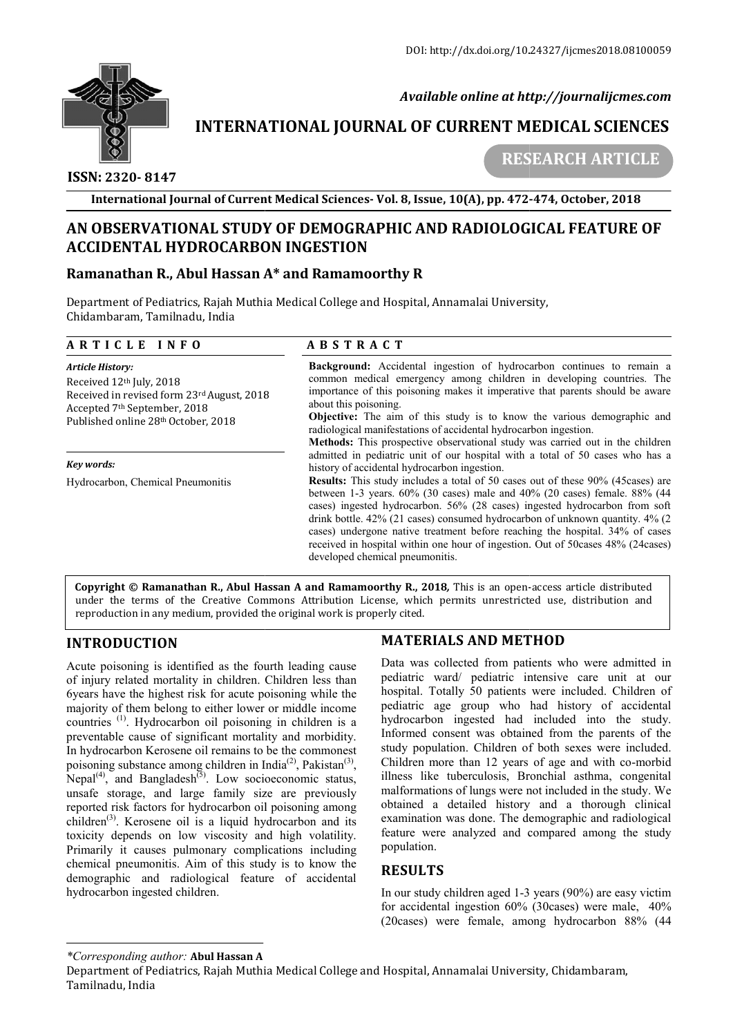

 *Available online at http://journalijcmes.com*

# **INTERNATIONAL JOURNAL OF CURRENT MEDICAL SCIENCES SCIENCES**

 **ISSN: 2320- 8147**

 **RESEARCH ARTICLE**

**International Journal of Current Medical Sciences Sciences- Vol. 8, Issue, 10(A), pp. 472- -474, October, 2018**

# AN OBSERVATIONAL STUDY OF DEMOGRAPHIC AND RADIOLOGICAL FEATURE OF **ACCIDENTAL HYDROCARBON INGESTION**

# **Ramanathan R., Abul Hassan A A\* and Ramamoorthy R**

Department of Pediatrics, Rajah Muthia Medical College and Hospital, Annamalai University, Chidambaram, Tamilnadu, India

| ARTICLE INFO                                                                                                                                                                                     | <b>ABSTRACT</b>                                                                                                                                                                                                                                                                                                                                                                                                                                                                                                                                  |
|--------------------------------------------------------------------------------------------------------------------------------------------------------------------------------------------------|--------------------------------------------------------------------------------------------------------------------------------------------------------------------------------------------------------------------------------------------------------------------------------------------------------------------------------------------------------------------------------------------------------------------------------------------------------------------------------------------------------------------------------------------------|
| <b>Article History:</b><br>Received 12 <sup>th</sup> July, 2018<br>Received in revised form 23rd August, 2018<br>Accepted 7 <sup>th</sup> September, 2018<br>Published online 28th October, 2018 | <b>Background:</b> Accidental ingestion of hydrocarbon continues to remain a<br>common medical emergency among children in developing countries. The<br>importance of this poisoning makes it imperative that parents should be aware<br>about this poisoning.<br><b>Objective:</b> The aim of this study is to know the various demographic and<br>radiological manifestations of accidental hydrocarbon ingestion.<br><b>Methods:</b> This prospective observational study was carried out in the children                                     |
| Key words:                                                                                                                                                                                       | admitted in pediatric unit of our hospital with a total of 50 cases who has a<br>history of accidental hydrocarbon ingestion.                                                                                                                                                                                                                                                                                                                                                                                                                    |
| Hydrocarbon, Chemical Pneumonitis                                                                                                                                                                | <b>Results:</b> This study includes a total of 50 cases out of these 90% (45 cases) are<br>between 1-3 years. $60\%$ (30 cases) male and $40\%$ (20 cases) female. 88% (44<br>cases) ingested hydrocarbon. 56% (28 cases) ingested hydrocarbon from soft<br>drink bottle. 42% (21 cases) consumed hydrocarbon of unknown quantity. 4% (2<br>cases) undergone native treatment before reaching the hospital. 34% of cases<br>received in hospital within one hour of ingestion. Out of 50 cases 48% (24 cases)<br>developed chemical pneumonitis. |

**Copyright © Ramanathan R., Abul Hassan A and Ramamoorthy R., 2018, This is an open-access article distributed** under the terms of the Creative Commons Attribution License, which permits unrestricted use, distribution and reproduction in any medium, provided the original work is properly cited.

# **INTRODUCTION**

Acute poisoning is identified as the fourth leading cause of injury related mortality in children. Children less than 6years have the highest risk for acute poisoning while the majority of them belong to either lower or middle income countries (1). Hydrocarbon oil poisoning in children is a preventable cause of significant mortality and morbidity. In hydrocarbon Kerosene oil remains to be the commonest poisoning substance among children in India<sup>(2)</sup>, Pakistan<sup>(3)</sup>, Nepal<sup>(4)</sup>, and Bangladesh<sup>(5)</sup>. Low socioeconomic unsafe storage, and large family size are previously reported risk factors for hydrocarbon oil poisoning among children<sup>(3)</sup>. Kerosene oil is a liquid hydrocarbon and its toxicity depends on low viscosity and high volatility. Primarily it causes pulmonary complications including chemical pneumonitis. Aim of this study is to know the demographic and radiological feature of accidental hydrocarbon ingested children. bon oil poisoning in children is a ignificant mortality and morbidity.<br>ne oil remains to be the commonest<br>nong children in India<sup>(2)</sup>, Pakistan<sup>(3)</sup>, . Low socioeconomic status, **DUCTION**<br> **MATERIALS AND METHOD**<br>
soning is identified as the fourth leading cause Data was collected from patients we<br>
related mortality in children. Children less than<br>
pediatric ward/ pediatric intensive<br>
we the highes

#### **MATERIALS AND METHOD**

Data was collected from patients who were admitted in pediatric ward/ pediatric intensive care unit at our hospital. Totally 50 patients were included. Children of pediatric age group who had history of accidental hydrocarbon ingested had included into the study. Informed consent was obtained from the parents of the study population. Children of both sexes were included. Children more than 12 years of age and with co-morbid illness like tuberculosis, Bronchial asthma, congenital malformations of lungs were not included in the study. We obtained a detailed history and a tho examination was done. The demographic and radiological feature were analyzed and compared among the study population. examination was done. The demographic and radiological<br>
feature were analyzed and compared among the study<br>
population.<br> **RESULTS**<br>
In our study children aged 1-3 years (90%) are easy victim ric ward/ pediatric intensive care unit at our<br>al. Totally 50 patients were included. Children of<br>ric age group who had history of accidental<br>carbon ingested had included into the study.<br>hed consent was obtained from the p tuberculosis, Bronchial asthma, congenital<br>is of lungs were not included in the study. We<br>detailed history and a thorough clinical

# **RESULTS**

for accidental ingestion 60% (30cases) were male, 40% (20cases) were female, among hydrocarbon 88% (44

*<sup>\*</sup>Corresponding author:* **Abul Hassan A**

Department of Pediatrics, Rajah Muthia Medical College and Hospital, Annamalai University, Chidambaram, Tamilnadu, India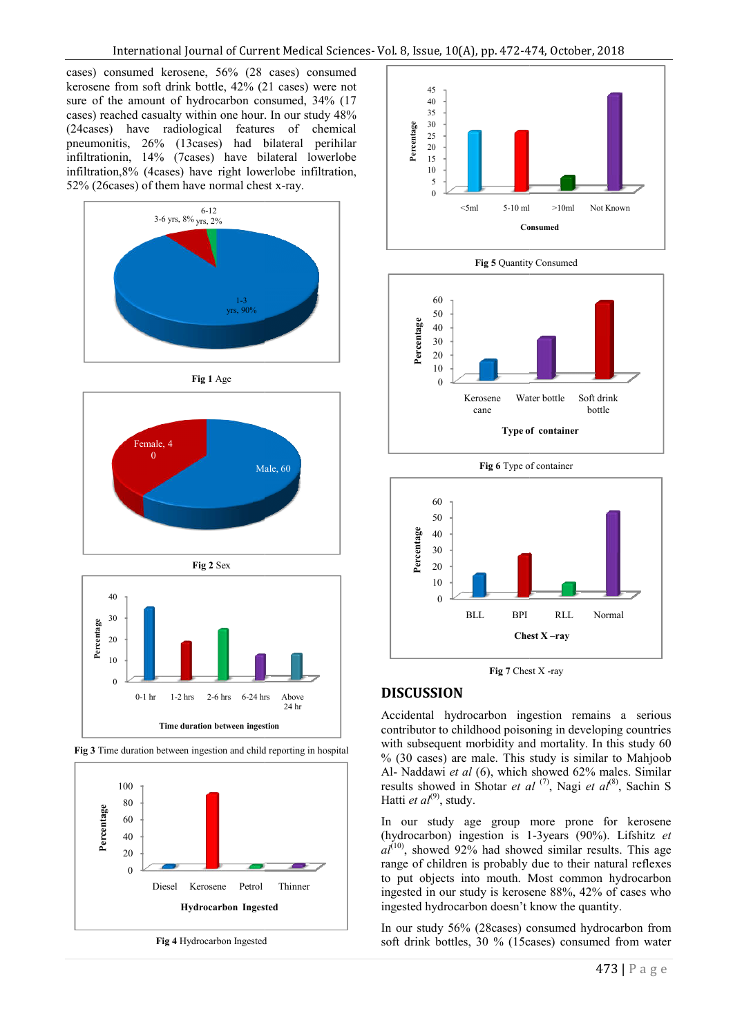cases) consumed kerosene, 56% (28 cases) consumed kerosene from soft drink bottle, 42% (21 cases) were not sure of the amount of hydrocarbon consumed, 34% (17 cases) reached casualty within one hour. In our study 48% (24cases) have radiological features of chemical pneumonitis, 26% (13cases) had bilateral perihilar infiltrationin, 14% (7cases) have bilateral lowerlobe infiltration, 8% (4 cases) have right lowerlobe infiltration, 52% (26cases) of them have normal chest x-ray.















**Fig 4** Hydrocarbon Ingested



**Fig 5** Quantity Consumed





**Fig 7** Chest X -ray

# **DISCUSSION**

Accidental hydrocarbon ingestion remains a serious contributor to childhood poisoning in developing countries with subsequent morbidity and mortality. In this study 60 % (30 cases) are male. This study is similar to Mahjoob Al- Naddawi *et al* (6), which showed 62% males. Similar results showed in Shotar *et al*<sup>(7)</sup>, Nagi *et al*<sup>(8)</sup>, Sachin S Hatti *et al*<sup>(9)</sup>, study. contributor to childhood poisoning in developing countries<br>with subsequent morbidity and mortality. In this study 60<br>% (30 cases) are male. This study is similar to Mahjoob

In our study age group more prone for kerosene In our study age group more prone for kerosene (hydrocarbon) ingestion is 1-3years (90%). Lifshitz *et*  $aI^{(10)}$ , showed 92% had showed similar results. This age range of children is probably due to their natural reflexes to put objects into mouth. Most common hydrocarbon to put objects into mouth. Most common hydrocarbon ingested in our study is kerosene 88%, 42% of cases who ingested hydrocarbon doesn't know the quantity.

In our study 56% (28cases) consumed hydrocarbon from soft drink bottles, 30 % (15cases) consumed from water